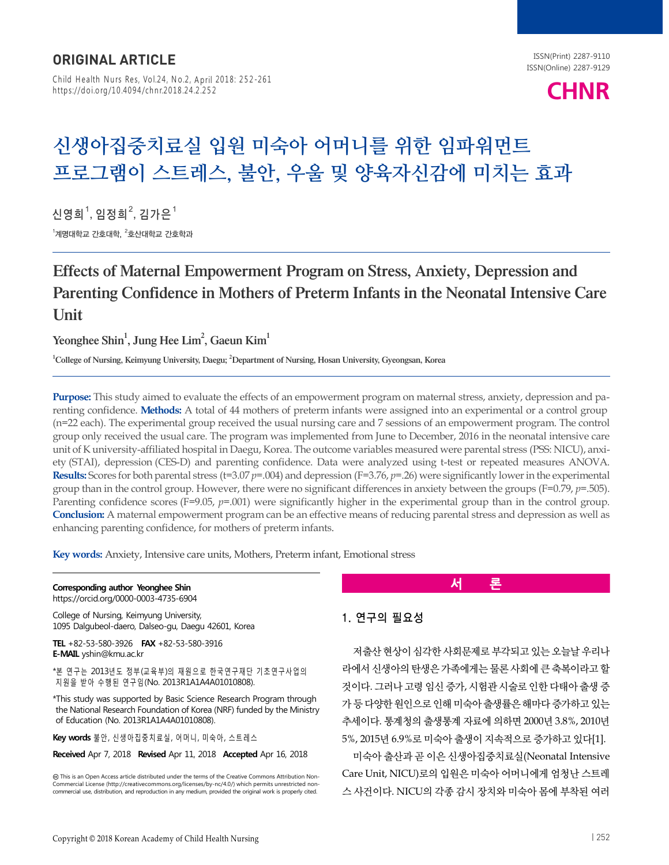Child Health Nurs Res, Vol.24, No.2, April 2018: 252-261 https://doi.org/10.4094/chnr.2018.24.2.252

# **CHNR**

## **신생아집중치료실 입원 미숙아 어머니를 위한 임파워먼트 프로그램이 스트레스, 불안, 우울 및 양육자신감에 미치는 효과**

신영희<sup>1</sup>, 임정희<sup>2</sup>, 김가은 $^{\rm 1}$  $^{\rm 1}$ 계명대학교 간호타학,  $^{\rm 2}$ 호산대학교 간호학과

## Effects of Maternal Empowerment Program on Stress, Anxiety, Depression and Parenting Confidence in Mothers of Preterm Infants in the Neonatal Intensive Care Unit

Yeonghee Shin $^1$ , Jung Hee Lim $^2$ , Gaeun Kim $^1$ 

<sup>1</sup>College of Nursing, Keimyung University, Daegu; <sup>2</sup>Department of Nursing, Hosan University, Gyeongsan, Korea

**Purpose:** This study aimed to evaluate the effects of an empowerment program on maternal stress, anxiety, depression and parenting confidence. **Methods:** A total of 44 mothers of preterm infants were assigned into an experimental or a control group (n=22 each). The experimental group received the usual nursing care and 7 sessions of an empowerment program. The control group only received the usual care. The program was implemented from June to December, 2016 in the neonatal intensive care unit of K university-affiliated hospital in Daegu, Korea. The outcome variables measured were parental stress (PSS: NICU), anxiety (STAI), depression (CES-D) and parenting confidence. Data were analyzed using t-test or repeated measures ANOVA. **Results:** Scores for both parental stress (t=3.07 *p*=.004) and depression (F=3.76, *p*=.26) were significantly lower in the experimental group than in the control group. However, there were no significant differences in anxiety between the groups (F=0.79, *p*=.505). Parenting confidence scores (F=9.05,  $p$ =.001) were significantly higher in the experimental group than in the control group. **Conclusion:** A maternal empowerment program can be an effective means of reducing parental stress and depression as well as enhancing parenting confidence, for mothers of preterm infants.

**Key words:** Anxiety, Intensive care units, Mothers, Preterm infant, Emotional stress

#### **Corresponding author Yeonghee Shin**

https://orcid.org/0000-0003-4735-6904

College of Nursing, Keimyung University, 1095 Dalgubeol-daero, Dalseo-gu, Daegu 42601, Korea

**TEL** +82-53-580-3926 **FAX** +82-53-580-3916 **E-MAIL** yshin@kmu.ac.kr

\*본 연구는 2013년도 정부(교육부)의 재원으로 한국연구재단 기초연구사업의 지원을 받아 수행된 연구임(No. 2013R1A1A4A01010808).

\*This study was supported by Basic Science Research Program through the National Research Foundation of Korea (NRF) funded by the Ministry of Education (No. 2013R1A1A4A01010808).

**Key words** 불안, 신생아집중치료실, 어머니, 미숙아, 스트레스

#### **Received** Apr 7, 2018 **Revised** Apr 11, 2018 **Accepted** Apr 16, 2018

This is an Open Access article distributed under the terms of the Creative Commons Attribution Non-Commercial License (http://creativecommons.org/licenses/by-nc/4.0/) which permits unrestricted noncommercial use, distribution, and reproduction in any medium, provided the original work is properly cited.

**서 론**

#### 1. 연구의 필요성

저출산 현상이 심각한 사회문제로 부각되고 있는 오늘날 우리나 라에서 신생아의 탄생은 가족에게는 물론 사회에 큰 축복이라고 할 것이다. 그러나 고령 임신 증가, 시험관 시술로 인한 다태아 출생 증 가 등 다양한 원인으로 인해 미숙아 출생률은 해마다 증가하고 있는 추세이다. 통계청의 출생통계 자료에 의하면 2000년 3.8%, 2010년 5%, 2015년 6.9%로 미숙아 출생이 지속적으로 증가하고 있다[1].

미숙아 출산과 곧 이은 신생아집중치료실(Neonatal Intensive Care Unit, NICU)로의 입원은 미숙아 어머니에게 엄청난 스트레 스 사건이다. NICU의 각종 감시 장치와 미숙아 몸에 부착된 여러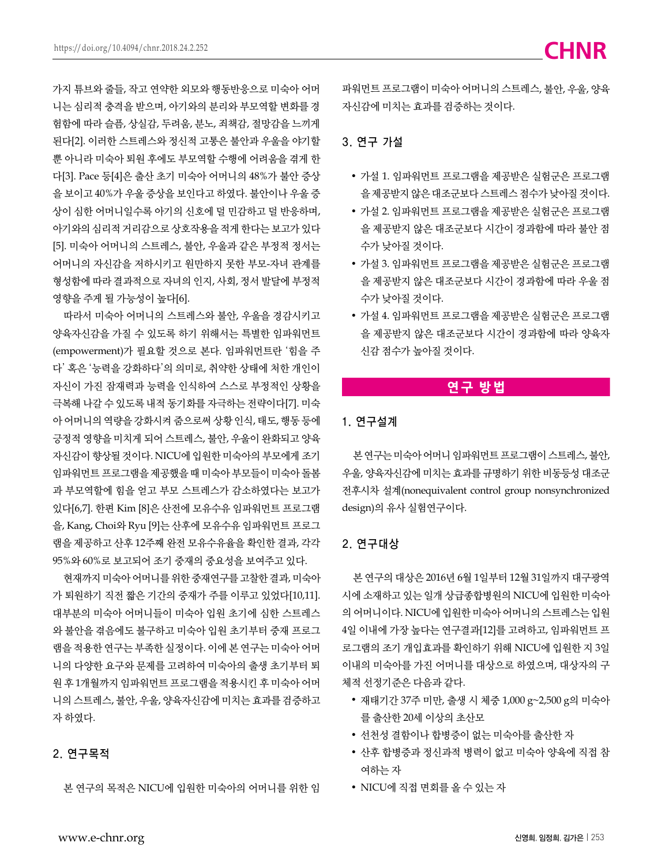가지 튜브와 줄들, 작고 연약한 외모와 행동반응으로 미숙아 어머 니는 심리적 충격을 받으며, 아기와의 분리와 부모역할 변화를 경 험함에 따라 슬픔, 상실감, 두려움, 분노, 죄책감, 절망감을 느끼게 된다[2]. 이러한 스트레스와 정신적 고통은 불안과 우울을 야기할 뿐 아니라 미숙아 퇴원 후에도 부모역할 수행에 어려움을 겪게 한 다[3]. Pace 등[4]은 출산 초기 미숙아 어머니의 48%가 불안 증상 을 보이고 40%가 우울 증상을 보인다고 하였다. 불안이나 우울 증 상이 심한 어머니일수록 아기의 신호에 덜 민감하고 덜 반응하며, 아기와의 심리적 거리감으로 상호작용을 적게 한다는 보고가 있다 [5]. 미숙아 어머니의 스트레스, 불안, 우울과 같은 부정적 정서는 어머니의 자신감을 저하시키고 원만하지 못한 부모-자녀 관계를 형성함에 따라 결과적으로 자녀의 인지, 사회, 정서 발달에 부정적 영향을 주게 될 가능성이 높다[6].

따라서 미숙아 어머니의 스트레스와 불안, 우울을 경감시키고 양육자신감을 가질 수 있도록 하기 위해서는 특별한 임파워먼트 (empowerment)가 필요할 것으로 본다. 임파워먼트란 '힘을 주 다' 혹은 '능력을 강화하다'의 의미로, 취약한 상태에 처한 개인이 자신이 가진 잠재력과 능력을 인식하여 스스로 부정적인 상황을 극복해 나갈 수 있도록 내적 동기화를 자극하는 전략이다[7]. 미숙 아 어머니의 역량을 강화시켜 줌으로써 상황 인식, 태도, 행동 등에 긍정적 영향을 미치게 되어 스트레스, 불안, 우울이 완화되고 양육 자신감이 향상될 것이다. NICU에 입원한 미숙아의 부모에게 조기 임파워먼트 프로그램을 제공했을 때 미숙아 부모들이 미숙아 돌봄 과 부모역할에 힘을 얻고 부모 스트레스가 감소하였다는 보고가 있다[6,7]. 한편 Kim [8]은 산전에 모유수유 임파워먼트 프로그램 을, Kang, Choi와 Ryu [9]는 산후에 모유수유 임파워먼트 프로그 램을 제공하고 산후 12주째 완전 모유수유율을 확인한 결과, 각각 95%와 60%로 보고되어 조기 중재의 중요성을 보여주고 있다.

현재까지 미숙아 어머니를 위한 중재연구를 고찰한 결과, 미숙아 가 퇴원하기 직전 짧은 기간의 중재가 주를 이루고 있었다[10,11]. 대부분의 미숙아 어머니들이 미숙아 입원 초기에 심한 스트레스 와 불안을 겪음에도 불구하고 미숙아 입원 초기부터 중재 프로그 램을 적용한 연구는 부족한 실정이다. 이에 본 연구는 미숙아 어머 니의 다양한 요구와 문제를 고려하여 미숙아의 출생 초기부터 퇴 원 후 1개월까지 임파워먼트 프로그램을 적용시킨 후 미숙아 어머 니의 스트레스, 불안, 우울, 양육자신감에 미치는 효과를 검증하고 자 하였다.

#### 2. 연구목적

본 연구의 목적은 NICU에 입원한 미숙아의 어머니를 위한 임

파워먼트 프로그램이 미숙아 어머니의 스트레스, 불안, 우울, 양육 자신감에 미치는 효과를 검증하는 것이다.

#### 3. 연구 가설

- 가설 1. 임파워먼트 프로그램을 제공받은 실험군은 프로그램 을 제공받지 않은 대조군보다 스트레스 점수가 낮아질 것이다.
- 가설 2. 임파워먼트 프로그램을 제공받은 실험군은 프로그램 을 제공받지 않은 대조군보다 시간이 경과함에 따라 불안 점 수가 낮아질 것이다.
- 가설 3. 임파워먼트 프로그램을 제공받은 실험군은 프로그램 을 제공받지 않은 대조군보다 시간이 경과함에 따라 우울 점 수가 낮아질 것이다.
- 가설 4. 임파워먼트 프로그램을 제공받은 실험군은 프로그램 을 제공받지 않은 대조군보다 시간이 경과함에 따라 양육자 신감 점수가 높아질 것이다.

### **연구 방법**

#### 1. 연구설계

본 연구는 미숙아 어머니 임파워먼트 프로그램이 스트레스, 불안, 우울, 양육자신감에 미치는 효과를 규명하기 위한 비동등성 대조군 전후시차 설계(nonequivalent control group nonsynchronized design)의 유사 실험연구이다.

#### 2. 연구대상

본 연구의 대상은 2016년 6월 1일부터 12월 31일까지 대구광역 시에 소재하고 있는 일개 상급종합병원의 NICU에 입원한 미숙아 의 어머니이다. NICU에 입원한 미숙아 어머니의 스트레스는 입원 4일 이내에 가장 높다는 연구결과[12]를 고려하고, 임파워먼트 프 로그램의 조기 개입효과를 확인하기 위해 NICU에 입원한 지 3일 이내의 미숙아를 가진 어머니를 대상으로 하였으며, 대상자의 구 체적 선정기준은 다음과 같다.

- 재태기간 37주 미만, 출생 시 체중 1,000 g~2,500 g의 미숙아 를 출산한 20세 이상의 초산모
- 선천성 결함이나 합병증이 없는 미숙아를 출산한 자
- 산후 합병증과 정신과적 병력이 없고 미숙아 양육에 직접 참 여하는 자
- NICU에 직접 면회를 올 수 있는 자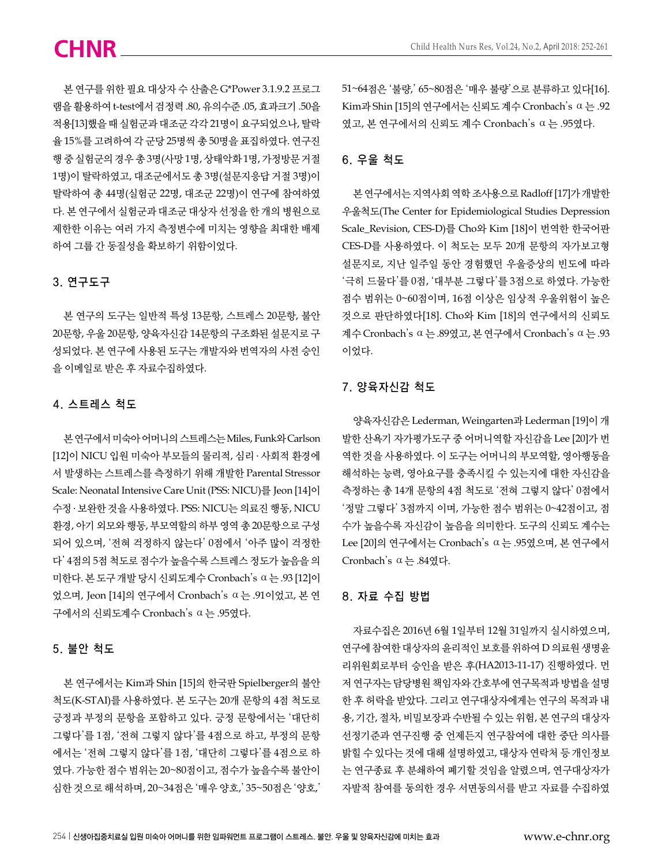본 연구를 위한 필요 대상자 수 산출은 G\*Power 3.1.9.2 프로그 램을 활용하여 t-test에서 검정력 .80, 유의수준 .05, 효과크기 .50을 적용[13]했을 때 실험군과 대조군 각각 21명이 요구되었으나, 탈락 율 15%를 고려하여 각 군당 25명씩 총 50명을 표집하였다. 연구진 행 중 실험군의 경우 총 3명(사망 1명, 상태악화 1명, 가정방문 거절 1명)이 탈락하였고, 대조군에서도 총 3명(설문지응답 거절 3명)이 탈락하여 총 44명(실험군 22명, 대조군 22명)이 연구에 참여하였 다. 본 연구에서 실험군과 대조군 대상자 선정을 한 개의 병원으로 제한한 이유는 여러 가지 측정변수에 미치는 영향을 최대한 배제 하여 그룹 간 동질성을 확보하기 위함이었다.

#### 3. 연구도구

본 연구의 도구는 일반적 특성 13문항, 스트레스 20문항, 불안 20문항, 우울 20문항, 양육자신감 14문항의 구조화된 설문지로 구 성되었다. 본 연구에 사용된 도구는 개발자와 번역자의 사전 승인 을 이메일로 받은 후 자료수집하였다.

#### 4. 스트레스 척도

본 연구에서 미숙아 어머니의 스트레스는 Miles, Funk와 Carlson [12]이 NICU 입원 미숙아 부모들의 물리적, 심리 ․ 사회적 환경에 서 발생하는 스트레스를 측정하기 위해 개발한 Parental Stressor Scale: Neonatal Intensive Care Unit (PSS: NICU)를 Jeon [14]이 수정 ․ 보완한 것을 사용하였다. PSS: NICU는 의료진 행동, NICU 환경, 아기 외모와 행동, 부모역할의 하부 영역 총 20문항으로 구성 되어 있으며, '전혀 걱정하지 않는다' 0점에서 '아주 많이 걱정한 다' 4점의 5점 척도로 점수가 높을수록 스트레스 정도가 높음을 의 미한다. 본 도구 개발 당시 신뢰도계수 Cronbach's ⍺는 .93 [12]이 었으며, Jeon [14]의 연구에서 Cronbach's ⍺는 .91이었고, 본 연 구에서의 신뢰도계수 Cronbach's ⍺는 .95였다.

#### 5. 불안 척도

본 연구에서는 Kim과 Shin [15]의 한국판 Spielberger의 불안 척도(K-STAI)를 사용하였다. 본 도구는 20개 문항의 4점 척도로 긍정과 부정의 문항을 포함하고 있다. 긍정 문항에서는 '대단히 그렇다'를 1점, '전혀 그렇지 않다'를 4점으로 하고, 부정의 문항 에서는 '전혀 그렇지 않다'를 1점, '대단히 그렇다'를 4점으로 하 였다. 가능한 점수 범위는 20~80점이고, 점수가 높을수록 불안이 심한 것으로 해석하며, 20~34점은 '매우 양호,' 35~50점은 '양호,'

51~64점은 '불량,' 65~80점은 '매우 불량'으로 분류하고 있다[16]. Kim과 Shin [15]의 연구에서는 신뢰도 계수 Cronbach's ⍺는 .92 였고, 본 연구에서의 신뢰도 계수 Cronbach's ⍺는 .95였다.

### 6. 우울 척도

본 연구에서는 지역사회 역학 조사용으로 Radloff [17]가 개발한 우울척도(The Center for Epidemiological Studies Depression Scale\_Revision, CES-D)를 Cho와 Kim [18]이 번역한 한국어판 CES-D를 사용하였다. 이 척도는 모두 20개 문항의 자가보고형 설문지로, 지난 일주일 동안 경험했던 우울증상의 빈도에 따라 '극히 드물다'를 0점, '대부분 그렇다'를 3점으로 하였다. 가능한 점수 범위는 0~60점이며, 16점 이상은 임상적 우울위험이 높은 것으로 판단하였다[18]. Cho와 Kim [18]의 연구에서의 신뢰도 계수 Cronbach's ⍺는 .89였고, 본 연구에서 Cronbach's ⍺는 .93 이었다.

#### 7. 양육자신감 척도

양육자신감은 Lederman, Weingarten과 Lederman [19]이 개 발한 산욕기 자가평가도구 중 어머니역할 자신감을 Lee [20]가 번 역한 것을 사용하였다. 이 도구는 어머니의 부모역할, 영아행동을 해석하는 능력, 영아요구를 충족시킬 수 있는지에 대한 자신감을 측정하는 총 14개 문항의 4점 척도로 '전혀 그렇지 않다' 0점에서 '정말 그렇다' 3점까지 이며, 가능한 점수 범위는 0~42점이고, 점 수가 높을수록 자신감이 높음을 의미한다. 도구의 신뢰도 계수는 Lee [20]의 연구에서는 Cronbach's ⍺는 .95였으며, 본 연구에서 Cronbach's ⍺는 .84였다.

#### 8. 자료 수집 방법

자료수집은 2016년 6월 1일부터 12월 31일까지 실시하였으며, 연구에 참여한 대상자의 윤리적인 보호를 위하여 D 의료원 생명윤 리위원회로부터 승인을 받은 후(HA2013-11-17) 진행하였다. 먼 저 연구자는 담당병원 책임자와 간호부에 연구목적과 방법을 설명 한 후 허락을 받았다. 그리고 연구대상자에게는 연구의 목적과 내 용, 기간, 절차, 비밀보장과 수반될 수 있는 위험, 본 연구의 대상자 선정기준과 연구진행 중 언제든지 연구참여에 대한 중단 의사를 밝힐 수 있다는 것에 대해 설명하였고, 대상자 연락처 등 개인정보 는 연구종료 후 분쇄하여 폐기할 것임을 알렸으며, 연구대상자가 자발적 참여를 동의한 경우 서면동의서를 받고 자료를 수집하였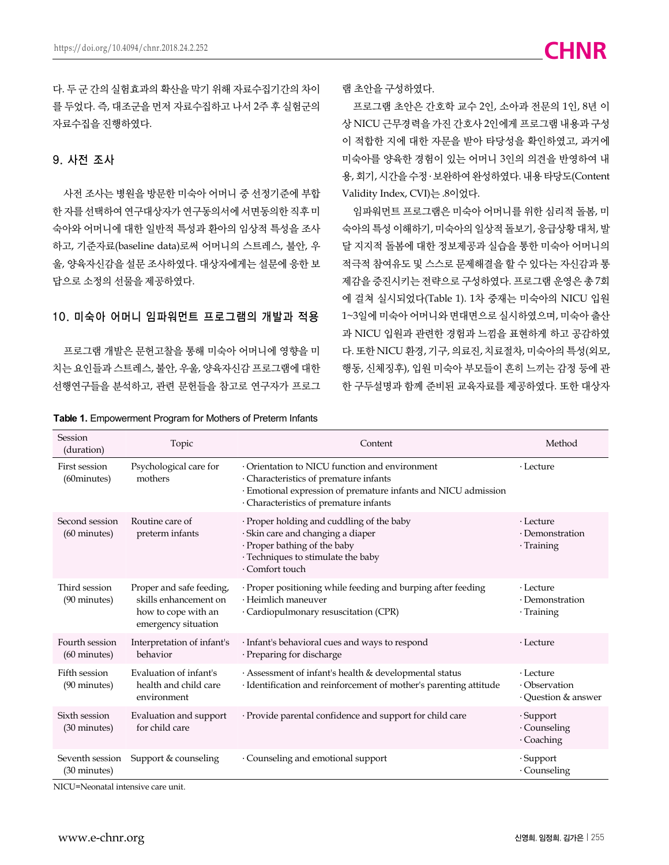다. 두 군 간의 실험효과의 확산을 막기 위해 자료수집기간의 차이 를 두었다. 즉, 대조군을 먼저 자료수집하고 나서 2주 후 실험군의 자료수집을 진행하였다.

#### 9. 사전 조사

사전 조사는 병원을 방문한 미숙아 어머니 중 선정기준에 부합 한 자를 선택하여 연구대상자가 연구동의서에 서면동의한 직후 미 숙아와 어머니에 대한 일반적 특성과 환아의 임상적 특성을 조사 하고, 기준자료(baseline data)로써 어머니의 스트레스, 불안, 우 울, 양육자신감을 설문 조사하였다. 대상자에게는 설문에 응한 보 답으로 소정의 선물을 제공하였다.

#### 10. 미숙아 어머니 임파워먼트 프로그램의 개발과 적용

프로그램 개발은 문헌고찰을 통해 미숙아 어머니에 영향을 미 치는 요인들과 스트레스, 불안, 우울, 양육자신감 프로그램에 대한 선행연구들을 분석하고, 관련 문헌들을 참고로 연구자가 프로그

|  |  | Table 1. Empowerment Program for Mothers of Preterm Infants |  |  |  |  |
|--|--|-------------------------------------------------------------|--|--|--|--|
|--|--|-------------------------------------------------------------|--|--|--|--|

램 초안을 구성하였다.

프로그램 초안은 간호학 교수 2인, 소아과 전문의 1인, 8년 이 상 NICU 근무경력을 가진 간호사 2인에게 프로그램 내용과 구성 이 적합한 지에 대한 자문을 받아 타당성을 확인하였고, 과거에 미숙아를 양육한 경험이 있는 어머니 3인의 의견을 반영하여 내 용, 회기, 시간을 수정 ․ 보완하여 완성하였다. 내용 타당도(Content Validity Index, CVI)는 .8이었다.

임파워먼트 프로그램은 미숙아 어머니를 위한 심리적 돌봄, 미 숙아의 특성 이해하기, 미숙아의 일상적 돌보기, 응급상황 대처, 발 달 지지적 돌봄에 대한 정보제공과 실습을 통한 미숙아 어머니의 적극적 참여유도 및 스스로 문제해결을 할 수 있다는 자신감과 통 제감을 증진시키는 전략으로 구성하였다. 프로그램 운영은 총 7회 에 걸쳐 실시되었다(Table 1). 1차 중재는 미숙아의 NICU 입원 1~3일에 미숙아 어머니와 면대면으로 실시하였으며, 미숙아 출산 과 NICU 입원과 관련한 경험과 느낌을 표현하게 하고 공감하였 다. 또한 NICU 환경, 기구, 의료진, 치료절차, 미숙아의 특성(외모, 행동, 신체징후), 입원 미숙아 부모들이 흔히 느끼는 감정 등에 관 한 구두설명과 함께 준비된 교육자료를 제공하였다. 또한 대상자

| Session<br>(duration)                    | Topic                                                                                           | Content                                                                                                                                                                                            | Method                                                 |
|------------------------------------------|-------------------------------------------------------------------------------------------------|----------------------------------------------------------------------------------------------------------------------------------------------------------------------------------------------------|--------------------------------------------------------|
| First session<br>(60minutes)             | Psychological care for<br>mothers                                                               | Orientation to NICU function and environment<br>· Characteristics of premature infants<br>· Emotional expression of premature infants and NICU admission<br>· Characteristics of premature infants | $\cdot$ Lecture                                        |
| Second session<br>$(60 \text{ minutes})$ | Routine care of<br>preterm infants                                                              | · Proper holding and cuddling of the baby<br>· Skin care and changing a diaper<br>· Proper bathing of the baby<br>· Techniques to stimulate the baby<br>· Comfort touch                            | $\cdot$ Lecture<br>· Demonstration<br>· Training       |
| Third session<br>(90 minutes)            | Proper and safe feeding,<br>skills enhancement on<br>how to cope with an<br>emergency situation | · Proper positioning while feeding and burping after feeding<br>· Heimlich maneuver<br>· Cardiopulmonary resuscitation (CPR)                                                                       | $\cdot$ Lecture<br>$\cdot$ Demonstration<br>· Training |
| Fourth session<br>$(60 \text{ minutes})$ | Interpretation of infant's<br>behavior                                                          | · Infant's behavioral cues and ways to respond<br>$\cdot$ Preparing for discharge                                                                                                                  | $\cdot$ Lecture                                        |
| Fifth session<br>(90 minutes)            | Evaluation of infant's<br>health and child care<br>environment                                  | · Assessment of infant's health & developmental status<br>· Identification and reinforcement of mother's parenting attitude                                                                        | $\cdot$ Lecture<br>· Observation<br>Ouestion & answer  |
| Sixth session<br>(30 minutes)            | Evaluation and support<br>for child care                                                        | · Provide parental confidence and support for child care                                                                                                                                           | $\cdot$ Support<br>· Counseling<br>· Coaching          |
| Seventh session<br>(30 minutes)          | Support & counseling                                                                            | $\cdot$ Counseling and emotional support                                                                                                                                                           | · Support<br>· Counseling                              |

NICU=Neonatal intensive care unit.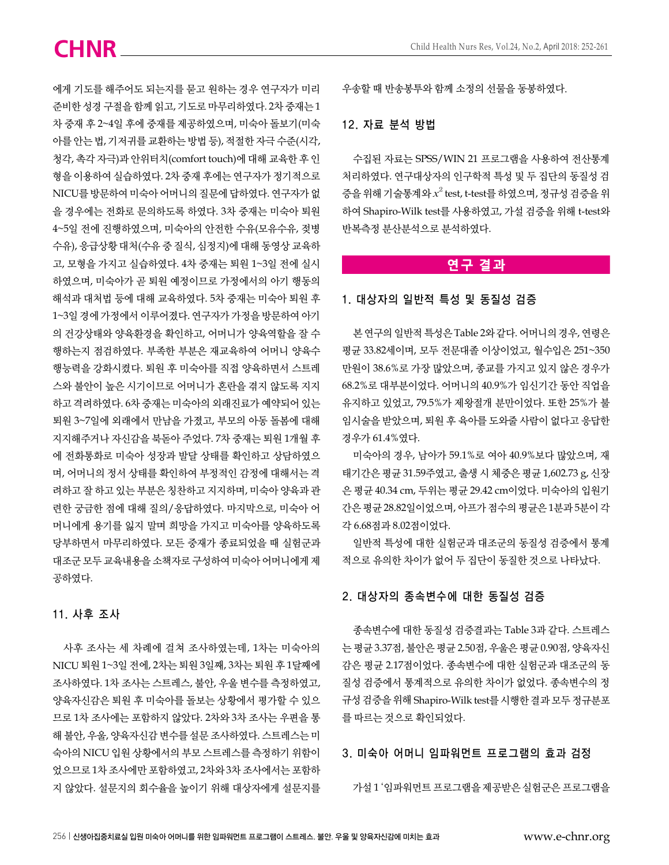에게 기도를 해주어도 되는지를 묻고 원하는 경우 연구자가 미리 준비한 성경 구절을 함께 읽고, 기도로 마무리하였다. 2차 중재는 1 차 중재 후 2~4일 후에 중재를 제공하였으며, 미숙아 돌보기(미숙 아를 안는 법, 기저귀를 교환하는 방법 등), 적절한 자극 수준(시각, 청각, 촉각 자극)과 안위터치(comfort touch)에 대해 교육한 후 인 형을 이용하여 실습하였다. 2차 중재 후에는 연구자가 정기적으로 NICU를 방문하여 미숙아 어머니의 질문에 답하였다. 연구자가 없 을 경우에는 전화로 문의하도록 하였다. 3차 중재는 미숙아 퇴원 4~5일 전에 진행하였으며, 미숙아의 안전한 수유(모유수유, 젖병 수유), 응급상황 대처(수유 중 질식, 심정지)에 대해 동영상 교육하 고, 모형을 가지고 실습하였다. 4차 중재는 퇴원 1~3일 전에 실시 하였으며, 미숙아가 곧 퇴원 예정이므로 가정에서의 아기 행동의 해석과 대처법 등에 대해 교육하였다. 5차 중재는 미숙아 퇴원 후 1~3일 경에 가정에서 이루어졌다. 연구자가 가정을 방문하여 아기 의 건강상태와 양육환경을 확인하고, 어머니가 양육역할을 잘 수 행하는지 점검하였다. 부족한 부분은 재교육하여 어머니 양육수 행능력을 강화시켰다. 퇴원 후 미숙아를 직접 양육하면서 스트레 스와 불안이 높은 시기이므로 어머니가 혼란을 겪지 않도록 지지 하고 격려하였다. 6차 중재는 미숙아의 외래진료가 예약되어 있는 퇴원 3~7일에 외래에서 만남을 가졌고, 부모의 아동 돌봄에 대해 지지해주거나 자신감을 북돋아 주었다. 7차 중재는 퇴원 1개월 후 에 전화통화로 미숙아 성장과 발달 상태를 확인하고 상담하였으 며, 어머니의 정서 상태를 확인하여 부정적인 감정에 대해서는 격 려하고 잘 하고 있는 부분은 칭찬하고 지지하며, 미숙아 양육과 관 련한 궁금한 점에 대해 질의/응답하였다. 마지막으로, 미숙아 어 머니에게 용기를 잃지 말며 희망을 가지고 미숙아를 양육하도록 당부하면서 마무리하였다. 모든 중재가 종료되었을 때 실험군과 대조군 모두 교육내용을 소책자로 구성하여 미숙아 어머니에게 제 공하였다.

#### 11. 사후 조사

사후 조사는 세 차례에 걸쳐 조사하였는데, 1차는 미숙아의 NICU 퇴원 1~3일 전에, 2차는 퇴원 3일째, 3차는 퇴원 후 1달째에 조사하였다. 1차 조사는 스트레스, 불안, 우울 변수를 측정하였고, 양육자신감은 퇴원 후 미숙아를 돌보는 상황에서 평가할 수 있으 므로 1차 조사에는 포함하지 않았다. 2차와 3차 조사는 우편을 통 해 불안, 우울, 양육자신감 변수를 설문 조사하였다. 스트레스는 미 숙아의 NICU 입원 상황에서의 부모 스트레스를 측정하기 위함이 었으므로 1차 조사에만 포함하였고, 2차와 3차 조사에서는 포함하 지 않았다. 설문지의 회수율을 높이기 위해 대상자에게 설문지를

우송할 때 반송봉투와 함께 소정의 선물을 동봉하였다.

#### 12. 자료 분석 방법

수집된 자료는 SPSS/WIN 21 프로그램을 사용하여 전산통계 처리하였다. 연구대상자의 인구학적 특성 및 두 집단의 동질성 검 증을 위해 기술통계와 $\,x^2\,$ test, t-test를 하였으며, 정규성 검증을 위 하여 Shapiro-Wilk test를 사용하였고, 가설 검증을 위해 t-test와 반복측정 분산분석으로 분석하였다.

#### **연구 결과**

#### 1. 대상자의 일반적 특성 및 동질성 검증

본 연구의 일반적 특성은 Table 2와 같다. 어머니의 경우, 연령은 평균 33.82세이며, 모두 전문대졸 이상이었고, 월수입은 251~350 만원이 38.6%로 가장 많았으며, 종교를 가지고 있지 않은 경우가 68.2%로 대부분이었다. 어머니의 40.9%가 임신기간 동안 직업을 유지하고 있었고, 79.5%가 제왕절개 분만이었다. 또한 25%가 불 임시술을 받았으며, 퇴원 후 육아를 도와줄 사람이 없다고 응답한 경우가 61.4%였다.

미숙아의 경우, 남아가 59.1%로 여아 40.9%보다 많았으며, 재 태기간은 평균 31.59주였고, 출생 시 체중은 평균 1,602.73 g, 신장 은 평균 40.34 cm, 두위는 평균 29.42 cm이었다. 미숙아의 입원기 간은 평균 28.82일이었으며, 아프가 점수의 평균은 1분과 5분이 각 각 6.68점과 8.02점이었다.

일반적 특성에 대한 실험군과 대조군의 동질성 검증에서 통계 적으로 유의한 차이가 없어 두 집단이 동질한 것으로 나타났다.

#### 2. 대상자의 종속변수에 대한 동질성 검증

종속변수에 대한 동질성 검증결과는 Table 3과 같다. 스트레스 는 평균 3.37점, 불안은 평균 2.50점, 우울은 평균 0.90점, 양육자신 감은 평균 2.17점이었다. 종속변수에 대한 실험군과 대조군의 동 질성 검증에서 통계적으로 유의한 차이가 없었다. 종속변수의 정 규성 검증을 위해 Shapiro-Wilk test를 시행한 결과 모두 정규분포 를 따르는 것으로 확인되었다.

#### 3. 미숙아 어머니 임파워먼트 프로그램의 효과 검정

가설 1 '임파워먼트 프로그램을 제공받은 실험군은 프로그램을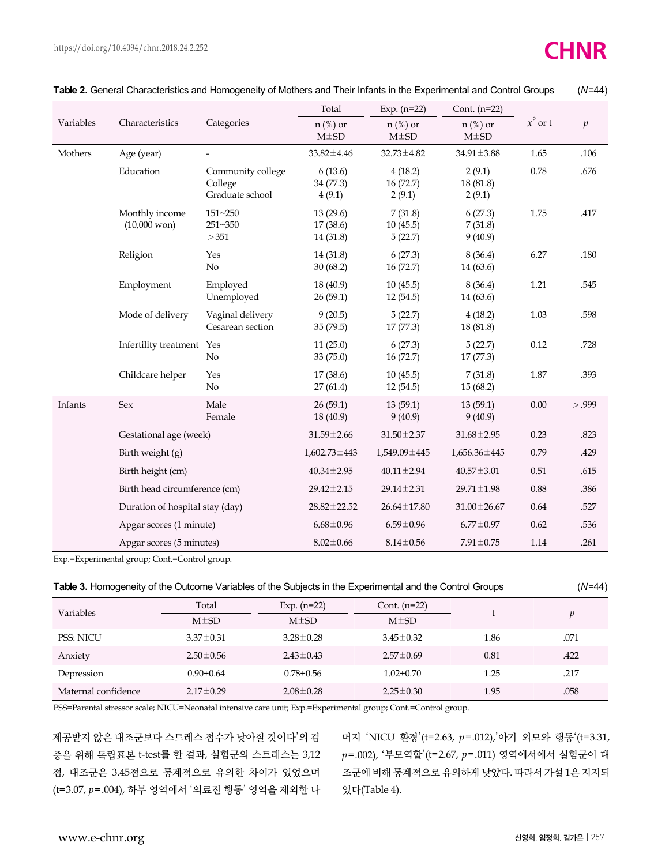|                        |                                          | Categories                                      | Total                             | Exp. $(n=22)$                  | Cont. $(n=22)$                |            |        |
|------------------------|------------------------------------------|-------------------------------------------------|-----------------------------------|--------------------------------|-------------------------------|------------|--------|
| Variables              | Characteristics                          |                                                 | $n$ (%) or<br>$M\pm SD$           | $n$ (%) or<br>$M\pm SD$        | $n$ (%) or<br>$M\pm SD$       | $x^2$ or t | p      |
| Mothers                | Age (year)                               |                                                 | 33.82±4.46                        | $32.73 \pm 4.82$               | $34.91 \pm 3.88$              | 1.65       | .106   |
|                        | Education                                | Community college<br>College<br>Graduate school | 6(13.6)<br>34(77.3)<br>4(9.1)     | 4(18.2)<br>16(72.7)<br>2(9.1)  | 2(9.1)<br>18(81.8)<br>2(9.1)  | 0.78       | .676   |
|                        | Monthly income<br>$(10,000 \text{ won})$ | $151 - 250$<br>251~350<br>>351                  | 13(29.6)<br>17(38.6)<br>14 (31.8) | 7(31.8)<br>10(45.5)<br>5(22.7) | 6(27.3)<br>7(31.8)<br>9(40.9) | 1.75       | .417   |
|                        | Religion                                 | Yes<br>No                                       | 14(31.8)<br>30(68.2)              | 6(27.3)<br>16(72.7)            | 8(36.4)<br>14(63.6)           | 6.27       | .180   |
|                        | Employment                               | Employed<br>Unemployed                          | 18(40.9)<br>26(59.1)              | 10(45.5)<br>12(54.5)           | 8(36.4)<br>14 (63.6)          | 1.21       | .545   |
|                        | Mode of delivery                         | Vaginal delivery<br>Cesarean section            | 9(20.5)<br>35(79.5)               | 5(22.7)<br>17(77.3)            | 4(18.2)<br>18 (81.8)          | 1.03       | .598   |
|                        | Infertility treatment                    | Yes<br>No                                       | 11(25.0)<br>33(75.0)              | 6(27.3)<br>16(72.7)            | 5(22.7)<br>17(77.3)           | 0.12       | .728   |
|                        | Childcare helper                         | Yes<br>$\rm No$                                 | 17(38.6)<br>27(61.4)              | 10(45.5)<br>12(54.5)           | 7(31.8)<br>15(68.2)           | 1.87       | .393   |
| Infants                | <b>Sex</b>                               | Male<br>Female                                  | 26(59.1)<br>18 (40.9)             | 13(59.1)<br>9(40.9)            | 13(59.1)<br>9(40.9)           | 0.00       | > .999 |
| Gestational age (week) |                                          |                                                 | 31.59±2.66                        | 31.50±2.37                     | $31.68 \pm 2.95$              | 0.23       | .823   |
|                        | Birth weight (g)                         |                                                 | $1,602.73 \pm 443$                | 1,549.09 ± 445                 | $1,656.36 \pm 445$            | 0.79       | .429   |
|                        | Birth height (cm)                        |                                                 | $40.34 \pm 2.95$                  | $40.11 \pm 2.94$               | $40.57 \pm 3.01$              | 0.51       | .615   |
|                        | Birth head circumference (cm)            |                                                 | $29.42 \pm 2.15$                  | $29.14 \pm 2.31$               | $29.71 \pm 1.98$              | $0.88\,$   | .386   |
|                        | Duration of hospital stay (day)          |                                                 | $28.82 \pm 22.52$                 | $26.64 \pm 17.80$              | $31.00 \pm 26.67$             | 0.64       | .527   |
|                        | Apgar scores (1 minute)                  |                                                 | $6.68 \pm 0.96$                   | $6.59 \pm 0.96$                | $6.77 \pm 0.97$               | 0.62       | .536   |
|                        | Apgar scores (5 minutes)                 |                                                 | $8.02 \pm 0.66$                   | $8.14 \pm 0.56$                | $7.91 \pm 0.75$               | 1.14       | .261   |

| Table 2. General Characteristics and Homogeneity of Mothers and Their Infants in the Experimental and Control Groups |  |  | $(N=44)$ |
|----------------------------------------------------------------------------------------------------------------------|--|--|----------|
|                                                                                                                      |  |  |          |

Exp.=Experimental group; Cont.=Control group.

|  | Table 3. Homogeneity of the Outcome Variables of the Subjects in the Experimental and the Control Groups |  | $(N=44)$ |
|--|----------------------------------------------------------------------------------------------------------|--|----------|
|--|----------------------------------------------------------------------------------------------------------|--|----------|

| <b>Variables</b>    | Total           | Exp. $(n=22)$   | Cont. $(n=22)$  |      |      |
|---------------------|-----------------|-----------------|-----------------|------|------|
|                     | $M\pm SD$       | $M\pm SD$       | $M\pm SD$       |      |      |
| <b>PSS: NICU</b>    | $3.37 \pm 0.31$ | $3.28 \pm 0.28$ | $3.45 \pm 0.32$ | 1.86 | .071 |
| Anxiety             | $2.50 \pm 0.56$ | $2.43 \pm 0.43$ | $2.57 \pm 0.69$ | 0.81 | .422 |
| Depression          | $0.90 + 0.64$   | $0.78 + 0.56$   | $1.02 + 0.70$   | 1.25 | .217 |
| Maternal confidence | $2.17 \pm 0.29$ | $2.08 \pm 0.28$ | $2.25 \pm 0.30$ | 1.95 | .058 |

PSS=Parental stressor scale; NICU=Neonatal intensive care unit; Exp.=Experimental group; Cont.=Control group.

제공받지 않은 대조군보다 스트레스 점수가 낮아질 것이다'의 검 증을 위해 독립표본 t-test를 한 결과, 실험군의 스트레스는 3,12 점, 대조군은 3.45점으로 통계적으로 유의한 차이가 있었으며 (t=3.07, *p*=.004), 하부 영역에서 '의료진 행동' 영역을 제외한 나

머지 'NICU 환경'(t=2.63, *p*=.012),'아기 외모와 행동'(t=3.31, *p*=.002), '부모역할'(t=2.67, *p*=.011) 영역에서에서 실험군이 대 조군에 비해 통계적으로 유의하게 낮았다. 따라서 가설 1은 지지되 었다(Table 4).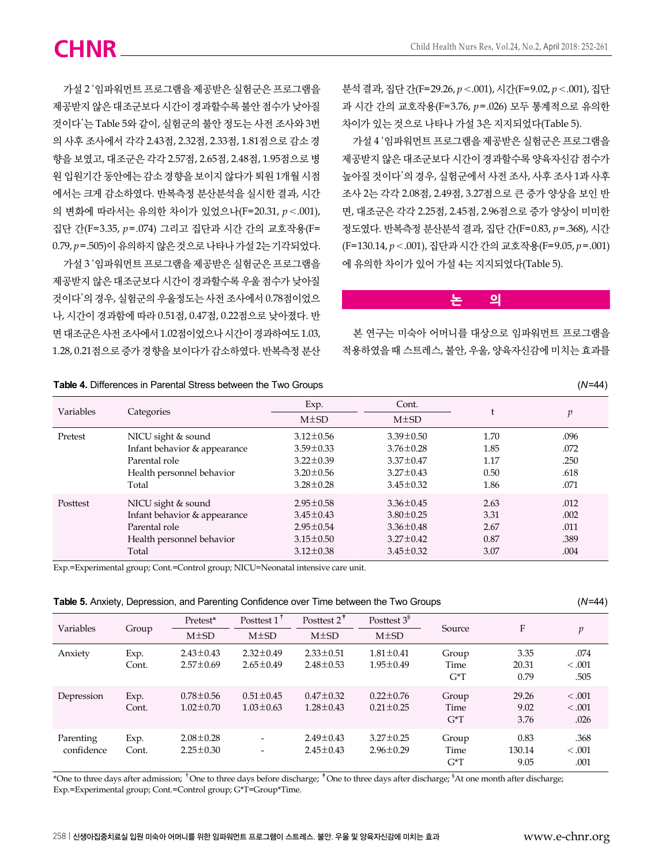가설 2 '임파워먼트 프로그램을 제공받은 실험군은 프로그램을 제공받지 않은 대조군보다 시간이 경과할수록 불안 점수가 낮아질 것이다'는 Table 5와 같이, 실험군의 불안 정도는 사전 조사와 3번 의 사후 조사에서 각각 2.43점, 2.32점, 2.33점, 1.81점으로 감소 경 향을 보였고, 대조군은 각각 2.57점, 2.65점, 2.48점, 1.95점으로 병 원 입원기간 동안에는 감소 경향을 보이지 않다가 퇴원 1개월 시점 에서는 크게 감소하였다. 반복측정 분산분석을 실시한 결과, 시간 의 변화에 따라서는 유의한 차이가 있었으나(F=20.31, *p*<.001), 집단 간(F=3.35, *p*=.074) 그리고 집단과 시간 간의 교호작용(F= 0.79, *p*=.505)이 유의하지 않은 것으로 나타나 가설 2는 기각되었다. 가설 3 '임파워먼트 프로그램을 제공받은 실험군은 프로그램을 제공받지 않은 대조군보다 시간이 경과할수록 우울 점수가 낮아질 것이다'의 경우, 실험군의 우울정도는 사전 조사에서 0.78점이었으 나, 시간이 경과함에 따라 0.51점, 0.47점, 0.22점으로 낮아졌다. 반 면 대조군은 사전 조사에서 1.02점이었으나 시간이 경과하여도 1.03, 1.28, 0.21점으로 증가 경향을 보이다가 감소하였다. 반복측정 분산 분석 결과, 집단 간(F=29.26, *p*<.001), 시간(F=9.02, *p*<.001), 집단 과 시간 간의 교호작용(F=3.76, *p*=.026) 모두 통계적으로 유의한 차이가 있는 것으로 나타나 가설 3은 지지되었다(Table 5).

가설 4 '임파워먼트 프로그램을 제공받은 실험군은 프로그램을 제공받지 않은 대조군보다 시간이 경과할수록 양육자신감 점수가 높아질 것이다'의 경우, 실험군에서 사전 조사, 사후 조사 1과 사후 조사 2는 각각 2.08점, 2.49점, 3.27점으로 큰 증가 양상을 보인 반 면, 대조군은 각각 2.25점, 2.45점, 2.96점으로 증가 양상이 미미한 정도였다. 반복측정 분산분석 결과, 집단 간(F=0.83, *p*=.368), 시간 (F=130.14, *p*<.001), 집단과 시간 간의 교호작용(F=9.05, *p*=.001) 에 유의한 차이가 있어 가설 4는 지지되었다(Table 5).

#### **논 의**

본 연구는 미숙아 어머니를 대상으로 임파워먼트 프로그램을 적용하였을 때 스트레스, 불안, 우울, 양육자신감에 미치는 효과를

| <b>Table 4.</b> Differences in Farchial Otress between the TWO Oroups |                              |                 |                 |      | $(11 - 77)$    |
|-----------------------------------------------------------------------|------------------------------|-----------------|-----------------|------|----------------|
| Variables                                                             |                              | Exp.            | Cont.           |      |                |
|                                                                       | Categories                   | $M\pm SD$       | $M\pm SD$       |      | $\mathfrak{p}$ |
| Pretest                                                               | NICU sight & sound           | $3.12 \pm 0.56$ | $3.39 \pm 0.50$ | 1.70 | .096           |
|                                                                       | Infant behavior & appearance | $3.59 \pm 0.33$ | $3.76 \pm 0.28$ | 1.85 | .072           |
|                                                                       | Parental role                | $3.22 \pm 0.39$ | $3.37 \pm 0.47$ | 1.17 | .250           |
|                                                                       | Health personnel behavior    | $3.20 \pm 0.56$ | $3.27 \pm 0.43$ | 0.50 | .618           |
|                                                                       | Total                        | $3.28 \pm 0.28$ | $3.45 \pm 0.32$ | 1.86 | .071           |
| Posttest                                                              | NICU sight & sound           | $2.95 \pm 0.58$ | $3.36 \pm 0.45$ | 2.63 | .012           |
|                                                                       | Infant behavior & appearance | $3.45 \pm 0.43$ | $3.80 \pm 0.25$ | 3.31 | .002           |
|                                                                       | Parental role                | $2.95 \pm 0.54$ | $3.36 \pm 0.48$ | 2.67 | .011           |
|                                                                       | Health personnel behavior    | $3.15 \pm 0.50$ | $3.27 \pm 0.42$ | 0.87 | .389           |
|                                                                       | Total                        | $3.12 \pm 0.38$ | $3.45 \pm 0.32$ | 3.07 | .004           |

**Table 4.** Differences in Parental Stress between the Two Groups (*N*=44)

Exp.=Experimental group; Cont.=Control group; NICU=Neonatal intensive care unit.

|  | Table 5. Anxiety, Depression, and Parenting Confidence over Time between the Two Groups | $(N=44)$ |
|--|-----------------------------------------------------------------------------------------|----------|
|--|-----------------------------------------------------------------------------------------|----------|

| Variables               | Group         | Pretest*                           | Posttest $1^{\dagger}$             | Posttest $2^{\dagger}$             | Posttest $38$                      | Source                       | F                      | $\boldsymbol{v}$           |
|-------------------------|---------------|------------------------------------|------------------------------------|------------------------------------|------------------------------------|------------------------------|------------------------|----------------------------|
|                         |               | $M\pm SD$                          | $M\pm SD$                          | $M\pm SD$                          | $M\pm SD$                          |                              |                        |                            |
| Anxiety                 | Exp.<br>Cont. | $2.43 \pm 0.43$<br>$2.57 \pm 0.69$ | $2.32 \pm 0.49$<br>$2.65 \pm 0.49$ | $2.33 \pm 0.51$<br>$2.48 \pm 0.53$ | $1.81 \pm 0.41$<br>$1.95 \pm 0.49$ | Group<br>Time<br>$G^{\ast}T$ | 3.35<br>20.31<br>0.79  | .074<br>< 0.001<br>.505    |
| Depression              | Exp.<br>Cont. | $0.78 \pm 0.56$<br>$1.02 \pm 0.70$ | $0.51 \pm 0.45$<br>$1.03 \pm 0.63$ | $0.47 \pm 0.32$<br>$1.28 \pm 0.43$ | $0.22 \pm 0.76$<br>$0.21 \pm 0.25$ | Group<br>Time<br>$G^*T$      | 29.26<br>9.02<br>3.76  | < 0.001<br>< 0.001<br>.026 |
| Parenting<br>confidence | Exp.<br>Cont. | $2.08 \pm 0.28$<br>$2.25 \pm 0.30$ | $\qquad \qquad \blacksquare$       | $2.49 \pm 0.43$<br>$2.45 \pm 0.43$ | $3.27 \pm 0.25$<br>$2.96 \pm 0.29$ | Group<br>Time<br>$G^*T$      | 0.83<br>130.14<br>9.05 | .368<br>< 0.001<br>.001    |

\*One to three days after admission; <sup>†</sup>One to three days before discharge; <sup>†</sup>One to three days after discharge; <sup>§</sup>At one month after discharge; Exp.=Experimental group; Cont.=Control group; G\*T=Group\*Time.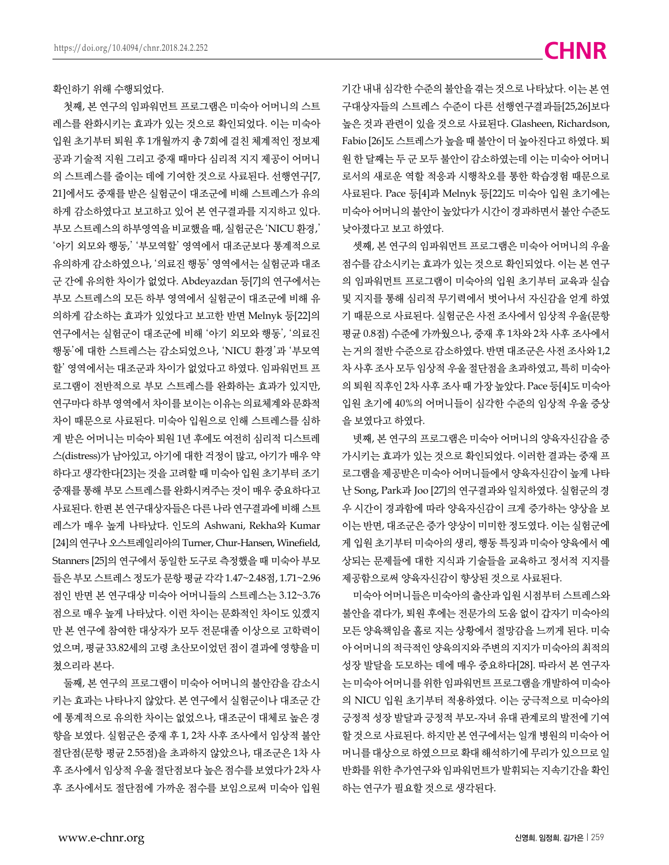확인하기 위해 수행되었다.

첫째, 본 연구의 임파워먼트 프로그램은 미숙아 어머니의 스트 레스를 완화시키는 효과가 있는 것으로 확인되었다. 이는 미숙아 입원 초기부터 퇴원 후 1개월까지 총 7회에 걸친 체계적인 정보제 공과 기술적 지원 그리고 중재 때마다 심리적 지지 제공이 어머니 의 스트레스를 줄이는 데에 기여한 것으로 사료된다. 선행연구[7, 21]에서도 중재를 받은 실험군이 대조군에 비해 스트레스가 유의 하게 감소하였다고 보고하고 있어 본 연구결과를 지지하고 있다. 부모 스트레스의 하부영역을 비교했을 때, 실험군은 'NICU 환경,' '아기 외모와 행동,' '부모역할' 영역에서 대조군보다 통계적으로 유의하게 감소하였으나, '의료진 행동' 영역에서는 실험군과 대조 군 간에 유의한 차이가 없었다. Abdeyazdan 등[7]의 연구에서는 부모 스트레스의 모든 하부 영역에서 실험군이 대조군에 비해 유 의하게 감소하는 효과가 있었다고 보고한 반면 Melnyk 등[22]의 연구에서는 실험군이 대조군에 비해 '아기 외모와 행동', '의료진 행동'에 대한 스트레스는 감소되었으나, 'NICU 환경'과 '부모역 할' 영역에서는 대조군과 차이가 없었다고 하였다. 임파워먼트 프 로그램이 전반적으로 부모 스트레스를 완화하는 효과가 있지만, 연구마다 하부 영역에서 차이를 보이는 이유는 의료체계와 문화적 차이 때문으로 사료된다. 미숙아 입원으로 인해 스트레스를 심하 게 받은 어머니는 미숙아 퇴원 1년 후에도 여전히 심리적 디스트레 스(distress)가 남아있고, 아기에 대한 걱정이 많고, 아기가 매우 약 하다고 생각한다[23]는 것을 고려할 때 미숙아 입원 초기부터 조기 중재를 통해 부모 스트레스를 완화시켜주는 것이 매우 중요하다고 사료된다. 한편 본 연구대상자들은 다른 나라 연구결과에 비해 스트 레스가 매우 높게 나타났다. 인도의 Ashwani, Rekha와 Kumar [24]의 연구나 오스트레일리아의 Turner, Chur-Hansen, Winefield, Stanners [25]의 연구에서 동일한 도구로 측정했을 때 미숙아 부모 들은 부모 스트레스 정도가 문항 평균 각각 1.47~2.48점, 1.71~2.96 점인 반면 본 연구대상 미숙아 어머니들의 스트레스는 3.12~3.76 점으로 매우 높게 나타났다. 이런 차이는 문화적인 차이도 있겠지 만 본 연구에 참여한 대상자가 모두 전문대졸 이상으로 고학력이 었으며, 평균 33.82세의 고령 초산모이었던 점이 결과에 영향을 미 쳤으리라 본다.

둘째, 본 연구의 프로그램이 미숙아 어머니의 불안감을 감소시 키는 효과는 나타나지 않았다. 본 연구에서 실험군이나 대조군 간 에 통계적으로 유의한 차이는 없었으나, 대조군이 대체로 높은 경 향을 보였다. 실험군은 중재 후 1, 2차 사후 조사에서 임상적 불안 절단점(문항 평균 2.55점)을 초과하지 않았으나, 대조군은 1차 사 후 조사에서 임상적 우울 절단점보다 높은 점수를 보였다가 2차 사 후 조사에서도 절단점에 가까운 점수를 보임으로써 미숙아 입원

기간 내내 심각한 수준의 불안을 겪는 것으로 나타났다. 이는 본 연 구대상자들의 스트레스 수준이 다른 선행연구결과들[25,26]보다 높은 것과 관련이 있을 것으로 사료된다. Glasheen, Richardson, Fabio [26]도 스트레스가 높을 때 불안이 더 높아진다고 하였다. 퇴 원 한 달째는 두 군 모두 불안이 감소하였는데 이는 미숙아 어머니 로서의 새로운 역할 적응과 시행착오를 통한 학습경험 때문으로 사료된다. Pace 등[4]과 Melnyk 등[22]도 미숙아 입원 초기에는 미숙아 어머니의 불안이 높았다가 시간이 경과하면서 불안 수준도 낮아졌다고 보고 하였다.

셋째, 본 연구의 임파워먼트 프로그램은 미숙아 어머니의 우울 점수를 감소시키는 효과가 있는 것으로 확인되었다. 이는 본 연구 의 임파워먼트 프로그램이 미숙아의 입원 초기부터 교육과 실습 및 지지를 통해 심리적 무기력에서 벗어나서 자신감을 얻게 하였 기 때문으로 사료된다. 실험군은 사전 조사에서 임상적 우울(문항 평균 0.8점) 수준에 가까웠으나, 중재 후 1차와 2차 사후 조사에서 는 거의 절반 수준으로 감소하였다. 반면 대조군은 사전 조사와 1,2 차 사후 조사 모두 임상적 우울 절단점을 초과하였고, 특히 미숙아 의 퇴원 직후인 2차 사후 조사 때 가장 높았다. Pace 등[4]도 미숙아 입원 초기에 40%의 어머니들이 심각한 수준의 임상적 우울 증상 을 보였다고 하였다.

넷째, 본 연구의 프로그램은 미숙아 어머니의 양육자신감을 증 가시키는 효과가 있는 것으로 확인되었다. 이러한 결과는 중재 프 로그램을 제공받은 미숙아 어머니들에서 양육자신감이 높게 나타 난 Song, Park과 Joo [27]의 연구결과와 일치하였다. 실험군의 경 우 시간이 경과함에 따라 양육자신감이 크게 증가하는 양상을 보 이는 반면, 대조군은 증가 양상이 미미한 정도였다. 이는 실험군에 게 입원 초기부터 미숙아의 생리, 행동 특징과 미숙아 양육에서 예 상되는 문제들에 대한 지식과 기술들을 교육하고 정서적 지지를 제공함으로써 양육자신감이 향상된 것으로 사료된다.

미숙아 어머니들은 미숙아의 출산과 입원 시점부터 스트레스와 불안을 겪다가, 퇴원 후에는 전문가의 도움 없이 갑자기 미숙아의 모든 양육책임을 홀로 지는 상황에서 절망감을 느끼게 된다. 미숙 아 어머니의 적극적인 양육의지와 주변의 지지가 미숙아의 최적의 성장 발달을 도모하는 데에 매우 중요하다[28]. 따라서 본 연구자 는 미숙아 어머니를 위한 임파워먼트 프로그램을 개발하여 미숙아 의 NICU 입원 초기부터 적용하였다. 이는 궁극적으로 미숙아의 긍정적 성장 발달과 긍정적 부모-자녀 유대 관계로의 발전에 기여 할 것으로 사료된다. 하지만 본 연구에서는 일개 병원의 미숙아 어 머니를 대상으로 하였으므로 확대 해석하기에 무리가 있으므로 일 반화를 위한 추가연구와 임파워먼트가 발휘되는 지속기간을 확인 하는 연구가 필요할 것으로 생각된다.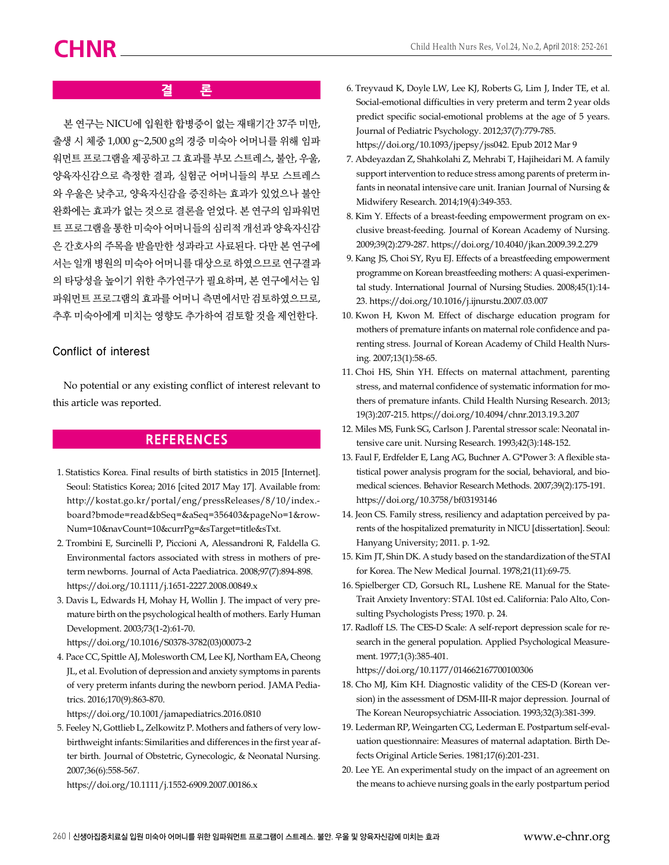### **결 론**

본 연구는 NICU에 입원한 합병증이 없는 재태기간 37주 미만, 출생 시 체중 1,000 g~2,500 g의 경증 미숙아 어머니를 위해 임파 워먼트 프로그램을 제공하고 그 효과를 부모 스트레스, 불안, 우울, 양육자신감으로 측정한 결과, 실험군 어머니들의 부모 스트레스 와 우울은 낮추고, 양육자신감을 증진하는 효과가 있었으나 불안 완화에는 효과가 없는 것으로 결론을 얻었다. 본 연구의 임파워먼 트 프로그램을 통한 미숙아 어머니들의 심리적 개선과 양육자신감 은 간호사의 주목을 받을만한 성과라고 사료된다. 다만 본 연구에 서는 일개 병원의 미숙아 어머니를 대상으로 하였으므로 연구결과 의 타당성을 높이기 위한 추가연구가 필요하며, 본 연구에서는 임 파워먼트 프로그램의 효과를 어머니 측면에서만 검토하였으므로, 추후 미숙아에게 미치는 영향도 추가하여 검토할 것을 제언한다.

#### Conflict of interest

No potential or any existing conflict of interest relevant to this article was reported.

### **REFERENCES**

- 1. Statistics Korea. Final results of birth statistics in 2015 [Internet]. Seoul: Statistics Korea; 2016 [cited 2017 May 17]. Available from: http://kostat.go.kr/portal/eng/pressReleases/8/10/index. board?bmode=read&bSeq=&aSeq=356403&pageNo=1&row-Num=10&navCount=10&currPg=&sTarget=title&sTxt.
- 2. Trombini E, Surcinelli P, Piccioni A, Alessandroni R, Faldella G. Environmental factors associated with stress in mothers of preterm newborns. Journal of Acta Paediatrica. 2008;97(7):894-898. https://doi.org/10.1111/j.1651-2227.2008.00849.x
- 3. Davis L, Edwards H, Mohay H, Wollin J. The impact of very premature birth on the psychological health of mothers. Early Human Development. 2003;73(1-2):61-70. https://doi.org/10.1016/S0378-3782(03)00073-2
- 4. Pace CC, Spittle AJ, Molesworth CM, Lee KJ, Northam EA, Cheong JL, et al. Evolution of depression and anxiety symptoms in parents of very preterm infants during the newborn period. JAMA Pediatrics. 2016;170(9):863-870.

https://doi.org/10.1001/jamapediatrics.2016.0810

5. Feeley N, Gottlieb L, Zelkowitz P. Mothers and fathers of very lowbirthweight infants: Similarities and differences in the first year after birth. Journal of Obstetric, Gynecologic, & Neonatal Nursing. 2007;36(6):558-567.

https://doi.org/10.1111/j.1552-6909.2007.00186.x

- 6. Treyvaud K, Doyle LW, Lee KJ, Roberts G, Lim J, Inder TE, et al. Social-emotional difficulties in very preterm and term 2 year olds predict specific social-emotional problems at the age of 5 years. Journal of Pediatric Psychology. 2012;37(7):779-785. https://doi.org/10.1093/jpepsy/jss042. Epub 2012 Mar 9
- 7. Abdeyazdan Z, Shahkolahi Z, Mehrabi T, Hajiheidari M. A family support intervention to reduce stress among parents of preterm infants in neonatal intensive care unit. Iranian Journal of Nursing & Midwifery Research. 2014;19(4):349-353.
- 8. Kim Y. Effects of a breast-feeding empowerment program on exclusive breast-feeding. Journal of Korean Academy of Nursing. 2009;39(2):279-287. https://doi.org/10.4040/jkan.2009.39.2.279
- 9. Kang JS, Choi SY, Ryu EJ. Effects of a breastfeeding empowerment programme on Korean breastfeeding mothers: A quasi-experimental study. International Journal of Nursing Studies. 2008;45(1):14- 23. https://doi.org/10.1016/j.ijnurstu.2007.03.007
- 10. Kwon H, Kwon M. Effect of discharge education program for mothers of premature infants on maternal role confidence and parenting stress. Journal of Korean Academy of Child Health Nursing. 2007;13(1):58-65.
- 11. Choi HS, Shin YH. Effects on maternal attachment, parenting stress, and maternal confidence of systematic information for mothers of premature infants. Child Health Nursing Research. 2013; 19(3):207-215. https://doi.org/10.4094/chnr.2013.19.3.207
- 12. Miles MS, Funk SG, Carlson J. Parental stressor scale: Neonatal intensive care unit. Nursing Research. 1993;42(3):148-152.
- 13. Faul F, Erdfelder E, Lang AG, Buchner A. G\*Power 3: A flexible statistical power analysis program for the social, behavioral, and biomedical sciences. Behavior Research Methods. 2007;39(2):175-191. https://doi.org/10.3758/bf03193146
- 14. Jeon CS. Family stress, resiliency and adaptation perceived by parents of the hospitalized prematurity in NICU [dissertation]. Seoul: Hanyang University; 2011. p. 1-92.
- 15. Kim JT, Shin DK. A study based on the standardization of the STAI for Korea. The New Medical Journal. 1978;21(11):69-75.
- 16. Spielberger CD, Gorsuch RL, Lushene RE. Manual for the State-Trait Anxiety Inventory: STAI. 10st ed. California: Palo Alto, Consulting Psychologists Press; 1970. p. 24.
- 17. Radloff LS. The CES-D Scale: A self-report depression scale for research in the general population. Applied Psychological Measurement. 1977;1(3):385-401.

https://doi.org/10.1177/014662167700100306

- 18. Cho MJ, Kim KH. Diagnostic validity of the CES-D (Korean version) in the assessment of DSM-III-R major depression. Journal of The Korean Neuropsychiatric Association. 1993;32(3):381-399.
- 19. Lederman RP, Weingarten CG, Lederman E. Postpartum self-evaluation questionnaire: Measures of maternal adaptation. Birth Defects Original Article Series. 1981;17(6):201-231.
- 20. Lee YE. An experimental study on the impact of an agreement on the means to achieve nursing goals in the early postpartum period